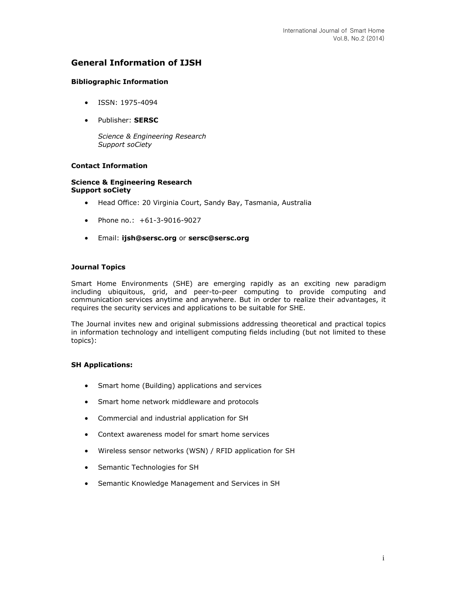# **General Information of IJSH**

## **Bibliographic Information**

- ISSN: 1975-4094
- Publisher: **SERSC**

*Science & Engineering Research Support soCiety*

## **Contact Information**

### **Science & Engineering Research Support soCiety**

- Head Office: 20 Virginia Court, Sandy Bay, Tasmania, Australia
- Phone no.: +61-3-9016-9027
- Email: **[ijsh@sersc.org](mailto:ijsh@sersc.org)** or **[sersc@sersc.org](mailto:sersc@sersc.org)**

### **Journal Topics**

Smart Home Environments (SHE) are emerging rapidly as an exciting new paradigm including ubiquitous, grid, and peer-to-peer computing to provide computing and communication services anytime and anywhere. But in order to realize their advantages, it requires the security services and applications to be suitable for SHE.

The Journal invites new and original submissions addressing theoretical and practical topics in information technology and intelligent computing fields including (but not limited to these topics):

### **SH Applications:**

- Smart home (Building) applications and services
- Smart home network middleware and protocols
- Commercial and industrial application for SH
- Context awareness model for smart home services
- Wireless sensor networks (WSN) / RFID application for SH
- Semantic Technologies for SH
- Semantic Knowledge Management and Services in SH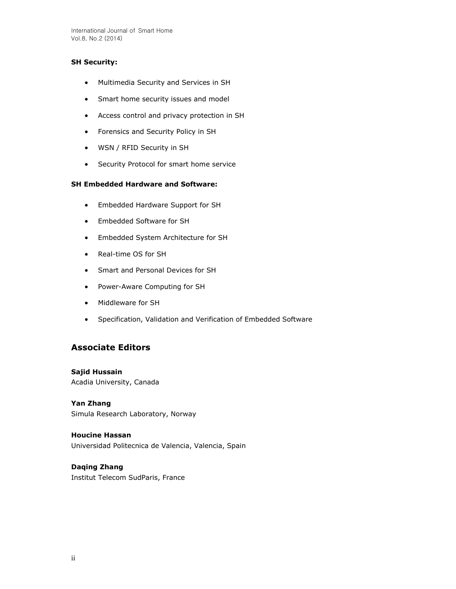International Journal of Smart Home Vol.8, No.2 (2014)

## **SH Security:**

- Multimedia Security and Services in SH
- Smart home security issues and model
- Access control and privacy protection in SH
- Forensics and Security Policy in SH
- WSN / RFID Security in SH
- **•** Security Protocol for smart home service

## **SH Embedded Hardware and Software:**

- Embedded Hardware Support for SH
- Embedded Software for SH
- Embedded System Architecture for SH
- Real-time OS for SH
- Smart and Personal Devices for SH
- Power-Aware Computing for SH
- Middleware for SH
- Specification, Validation and Verification of Embedded Software

# **Associate Editors**

**Sajid Hussain** Acadia University, Canada

**Yan Zhang**  Simula Research Laboratory, Norway

**Houcine Hassan**  Universidad Politecnica de Valencia, Valencia, Spain

# **Daqing Zhang**

Institut Telecom SudParis, France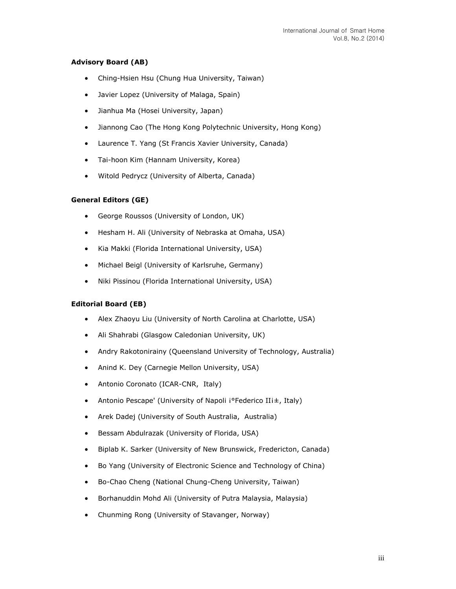## **Advisory Board (AB)**

- Ching-Hsien Hsu (Chung Hua University, Taiwan)
- Javier Lopez (University of Malaga, Spain)
- Jianhua Ma (Hosei University, Japan)
- Jiannong Cao (The Hong Kong Polytechnic University, Hong Kong)
- Laurence T. Yang (St Francis Xavier University, Canada)
- Tai-hoon Kim (Hannam University, Korea)
- Witold Pedrycz (University of Alberta, Canada)

### **General Editors (GE)**

- George Roussos (University of London, UK)
- Hesham H. Ali (University of Nebraska at Omaha, USA)
- Kia Makki (Florida International University, USA)
- Michael Beigl (University of Karlsruhe, Germany)
- Niki Pissinou (Florida International University, USA)

### **Editorial Board (EB)**

- Alex Zhaoyu Liu (University of North Carolina at Charlotte, USA)
- Ali Shahrabi (Glasgow Caledonian University, UK)
- Andry Rakotonirainy (Queensland University of Technology, Australia)
- Anind K. Dey (Carnegie Mellon University, USA)
- Antonio Coronato (ICAR-CNR, Italy)
- Antonio Pescape' (University of Napoli i°Federico IIi±, Italy)
- Arek Dadej (University of South Australia, Australia)
- Bessam Abdulrazak (University of Florida, USA)
- Biplab K. Sarker (University of New Brunswick, Fredericton, Canada)
- Bo Yang (University of Electronic Science and Technology of China)
- Bo-Chao Cheng (National Chung-Cheng University, Taiwan)
- Borhanuddin Mohd Ali (University of Putra Malaysia, Malaysia)
- Chunming Rong (University of Stavanger, Norway)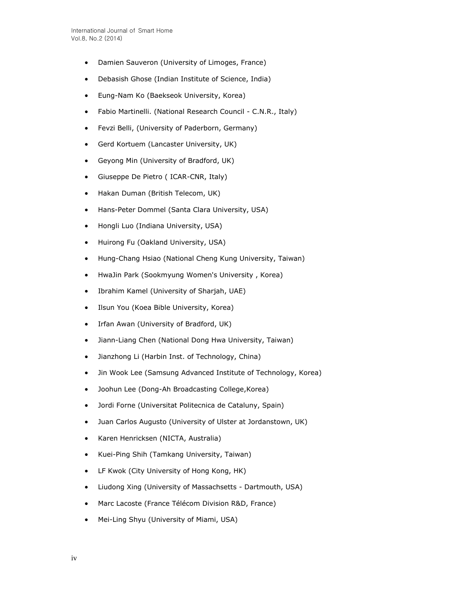- Damien Sauveron (University of Limoges, France)
- Debasish Ghose (Indian Institute of Science, India)
- Eung-Nam Ko (Baekseok University, Korea)
- Fabio Martinelli. (National Research Council C.N.R., Italy)
- Fevzi Belli, (University of Paderborn, Germany)
- Gerd Kortuem (Lancaster University, UK)
- Geyong Min (University of Bradford, UK)
- Giuseppe De Pietro ( ICAR-CNR, Italy)
- Hakan Duman (British Telecom, UK)
- Hans-Peter Dommel (Santa Clara University, USA)
- Hongli Luo (Indiana University, USA)
- Huirong Fu (Oakland University, USA)
- Hung-Chang Hsiao (National Cheng Kung University, Taiwan)
- HwaJin Park (Sookmyung Women's University , Korea)
- Ibrahim Kamel (University of Sharjah, UAE)
- Ilsun You (Koea Bible University, Korea)
- Irfan Awan (University of Bradford, UK)
- Jiann-Liang Chen (National Dong Hwa University, Taiwan)
- Jianzhong Li (Harbin Inst. of Technology, China)
- Jin Wook Lee (Samsung Advanced Institute of Technology, Korea)
- Joohun Lee (Dong-Ah Broadcasting College,Korea)
- Jordi Forne (Universitat Politecnica de Cataluny, Spain)
- Juan Carlos Augusto (University of Ulster at Jordanstown, UK)
- Karen Henricksen (NICTA, Australia)
- Kuei-Ping Shih (Tamkang University, Taiwan)
- LF Kwok (City University of Hong Kong, HK)
- Liudong Xing (University of Massachsetts Dartmouth, USA)
- Marc Lacoste (France Télécom Division R&D, France)
- Mei-Ling Shyu (University of Miami, USA)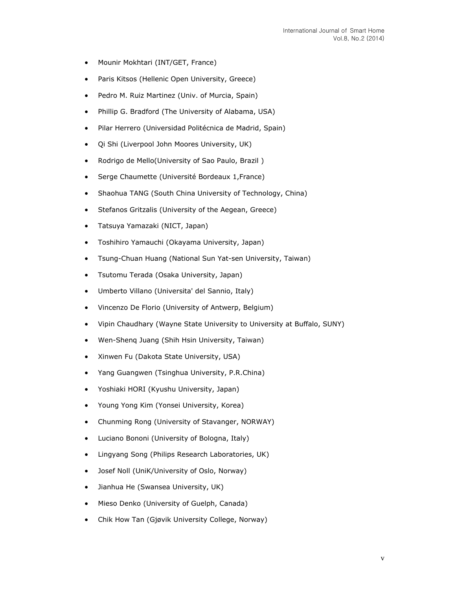- Mounir Mokhtari (INT/GET, France)
- Paris Kitsos (Hellenic Open University, Greece)
- Pedro M. Ruiz Martinez (Univ. of Murcia, Spain)
- Phillip G. Bradford (The University of Alabama, USA)
- Pilar Herrero (Universidad Politécnica de Madrid, Spain)
- Qi Shi (Liverpool John Moores University, UK)
- Rodrigo de Mello(University of Sao Paulo, Brazil)
- Serge Chaumette (Université Bordeaux 1,France)
- Shaohua TANG (South China University of Technology, China)
- Stefanos Gritzalis (University of the Aegean, Greece)
- Tatsuya Yamazaki (NICT, Japan)
- Toshihiro Yamauchi (Okayama University, Japan)
- Tsung-Chuan Huang (National Sun Yat-sen University, Taiwan)
- Tsutomu Terada (Osaka University, Japan)
- Umberto Villano (Universita' del Sannio, Italy)
- Vincenzo De Florio (University of Antwerp, Belgium)
- Vipin Chaudhary (Wayne State University to University at Buffalo, SUNY)
- Wen-Shenq Juang (Shih Hsin University, Taiwan)
- Xinwen Fu (Dakota State University, USA)
- Yang Guangwen (Tsinghua University, P.R.China)
- Yoshiaki HORI (Kyushu University, Japan)
- Young Yong Kim (Yonsei University, Korea)
- Chunming Rong (University of Stavanger, NORWAY)
- Luciano Bononi (University of Bologna, Italy)
- Lingyang Song (Philips Research Laboratories, UK)
- Josef Noll (UniK/University of Oslo, Norway)
- Jianhua He (Swansea University, UK)
- Mieso Denko (University of Guelph, Canada)
- Chik How Tan (Gjøvik University College, Norway)